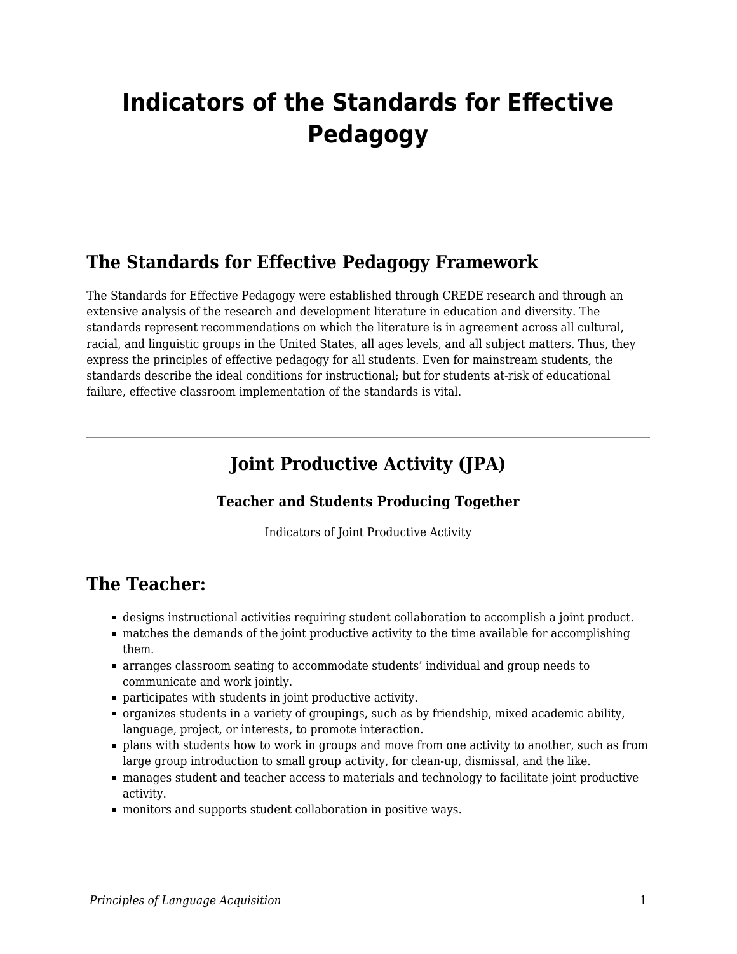# **Indicators of the Standards for Effective Pedagogy**

#### **The Standards for Effective Pedagogy Framework**

The Standards for Effective Pedagogy were established through CREDE research and through an extensive analysis of the research and development literature in education and diversity. The standards represent recommendations on which the literature is in agreement across all cultural, racial, and linguistic groups in the United States, all ages levels, and all subject matters. Thus, they express the principles of effective pedagogy for all students. Even for mainstream students, the standards describe the ideal conditions for instructional; but for students at-risk of educational failure, effective classroom implementation of the standards is vital.

## **Joint Productive Activity (JPA)**

#### **Teacher and Students Producing Together**

Indicators of Joint Productive Activity

### **The Teacher:**

- designs instructional activities requiring student collaboration to accomplish a joint product.
- matches the demands of the joint productive activity to the time available for accomplishing them.
- arranges classroom seating to accommodate students' individual and group needs to communicate and work jointly.
- participates with students in joint productive activity.
- organizes students in a variety of groupings, such as by friendship, mixed academic ability, language, project, or interests, to promote interaction.
- plans with students how to work in groups and move from one activity to another, such as from large group introduction to small group activity, for clean-up, dismissal, and the like.
- manages student and teacher access to materials and technology to facilitate joint productive activity.
- monitors and supports student collaboration in positive ways.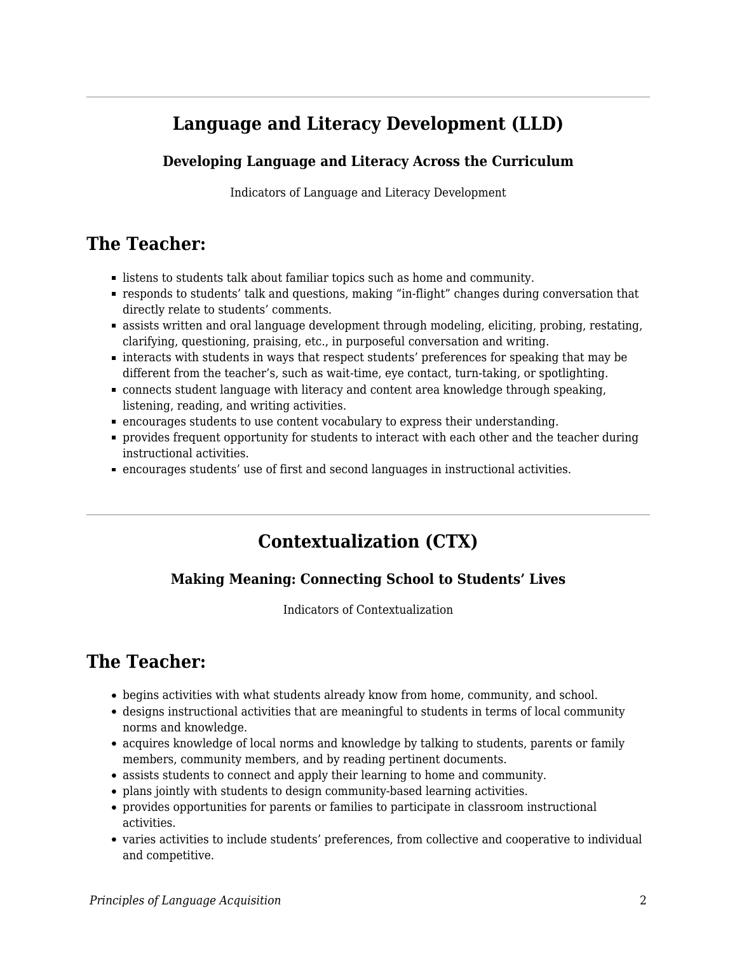## **Language and Literacy Development (LLD)**

#### **Developing Language and Literacy Across the Curriculum**

Indicators of Language and Literacy Development

## **The Teacher:**

- **Example 1** listens to students talk about familiar topics such as home and community.
- responds to students' talk and questions, making "in-flight" changes during conversation that directly relate to students' comments.
- assists written and oral language development through modeling, eliciting, probing, restating, clarifying, questioning, praising, etc., in purposeful conversation and writing.
- interacts with students in ways that respect students' preferences for speaking that may be different from the teacher's, such as wait-time, eye contact, turn-taking, or spotlighting.
- connects student language with literacy and content area knowledge through speaking, listening, reading, and writing activities.
- encourages students to use content vocabulary to express their understanding.
- **Provides frequent opportunity for students to interact with each other and the teacher during** instructional activities.
- encourages students' use of first and second languages in instructional activities.

# **Contextualization (CTX)**

#### **Making Meaning: Connecting School to Students' Lives**

Indicators of Contextualization

# **The Teacher:**

- begins activities with what students already know from home, community, and school.
- designs instructional activities that are meaningful to students in terms of local community norms and knowledge.
- acquires knowledge of local norms and knowledge by talking to students, parents or family members, community members, and by reading pertinent documents.
- assists students to connect and apply their learning to home and community.
- plans jointly with students to design community-based learning activities.
- provides opportunities for parents or families to participate in classroom instructional activities.
- varies activities to include students' preferences, from collective and cooperative to individual and competitive.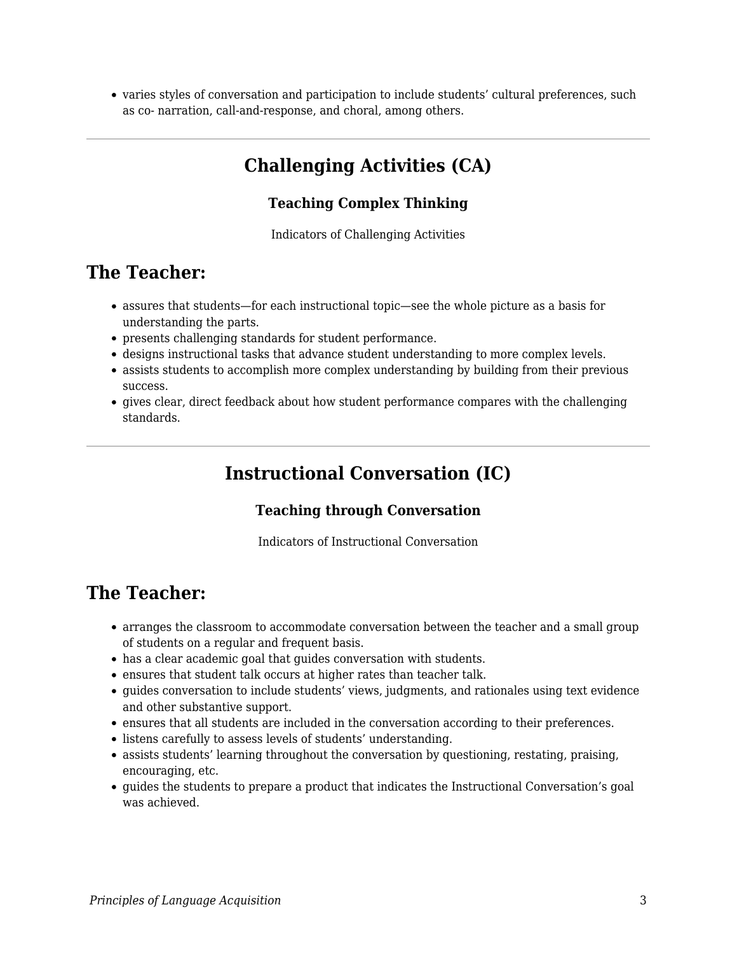varies styles of conversation and participation to include students' cultural preferences, such as co- narration, call-and-response, and choral, among others.

## **Challenging Activities (CA)**

#### **Teaching Complex Thinking**

Indicators of Challenging Activities

### **The Teacher:**

- assures that students—for each instructional topic—see the whole picture as a basis for understanding the parts.
- presents challenging standards for student performance.
- designs instructional tasks that advance student understanding to more complex levels.
- assists students to accomplish more complex understanding by building from their previous success.
- gives clear, direct feedback about how student performance compares with the challenging standards.

## **Instructional Conversation (IC)**

#### **Teaching through Conversation**

Indicators of Instructional Conversation

## **The Teacher:**

- arranges the classroom to accommodate conversation between the teacher and a small group of students on a regular and frequent basis.
- has a clear academic goal that guides conversation with students.
- ensures that student talk occurs at higher rates than teacher talk.
- guides conversation to include students' views, judgments, and rationales using text evidence and other substantive support.
- ensures that all students are included in the conversation according to their preferences.
- listens carefully to assess levels of students' understanding.
- assists students' learning throughout the conversation by questioning, restating, praising, encouraging, etc.
- guides the students to prepare a product that indicates the Instructional Conversation's goal was achieved.